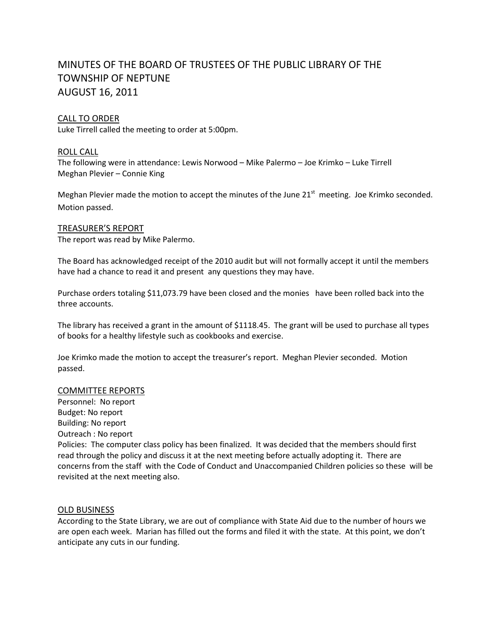# MINUTES OF THE BOARD OF TRUSTEES OF THE PUBLIC LIBRARY OF THE TOWNSHIP OF NEPTUNE AUGUST 16, 2011

## CALL TO ORDER

Luke Tirrell called the meeting to order at 5:00pm.

## ROLL CALL

The following were in attendance: Lewis Norwood – Mike Palermo – Joe Krimko – Luke Tirrell Meghan Plevier – Connie King

Meghan Plevier made the motion to accept the minutes of the June 21<sup>st</sup> meeting. Joe Krimko seconded. Motion passed.

#### TREASURER'S REPORT

The report was read by Mike Palermo.

The Board has acknowledged receipt of the 2010 audit but will not formally accept it until the members have had a chance to read it and present any questions they may have.

Purchase orders totaling \$11,073.79 have been closed and the monies have been rolled back into the three accounts.

The library has received a grant in the amount of \$1118.45. The grant will be used to purchase all types of books for a healthy lifestyle such as cookbooks and exercise.

Joe Krimko made the motion to accept the treasurer's report. Meghan Plevier seconded. Motion passed.

#### COMMITTEE REPORTS

Personnel: No report Budget: No report Building: No report Outreach : No report Policies: The computer class policy has been finalized. It was decided that the members should first read through the policy and discuss it at the next meeting before actually adopting it. There are concerns from the staff with the Code of Conduct and Unaccompanied Children policies so these will be revisited at the next meeting also.

## OLD BUSINESS

According to the State Library, we are out of compliance with State Aid due to the number of hours we are open each week. Marian has filled out the forms and filed it with the state. At this point, we don't anticipate any cuts in our funding.